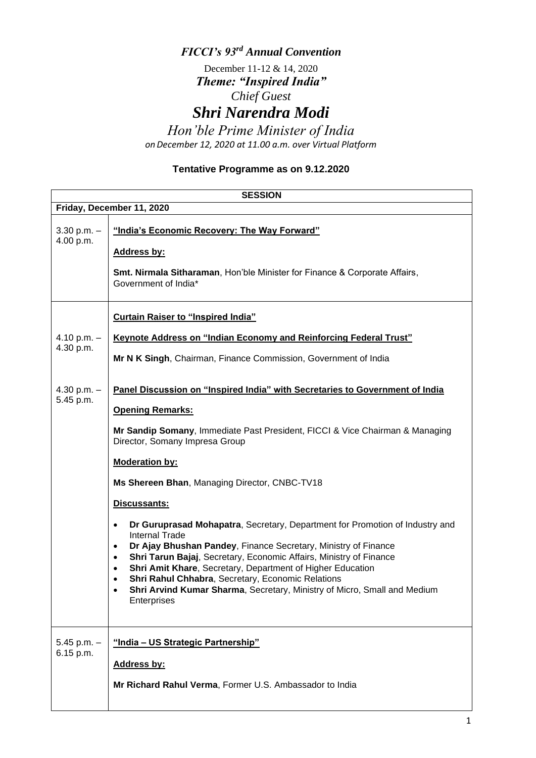## *FICCI's 93rd Annual Convention*

December 11-12 & 14, 2020 *Theme: "Inspired India" Chief Guest*

*Shri Narendra Modi*

*Hon'ble Prime Minister of India onDecember 12, 2020 at 11.00 a.m. over Virtual Platform*

## **Tentative Programme as on 9.12.2020**

|                              | <b>SESSION</b>                                                                                                                                                                                                                                                                                                                                                                                                                                                                       |
|------------------------------|--------------------------------------------------------------------------------------------------------------------------------------------------------------------------------------------------------------------------------------------------------------------------------------------------------------------------------------------------------------------------------------------------------------------------------------------------------------------------------------|
| Friday, December 11, 2020    |                                                                                                                                                                                                                                                                                                                                                                                                                                                                                      |
| $3.30$ p.m. $-$<br>4.00 p.m. | "India's Economic Recovery: The Way Forward"                                                                                                                                                                                                                                                                                                                                                                                                                                         |
|                              | <b>Address by:</b>                                                                                                                                                                                                                                                                                                                                                                                                                                                                   |
|                              | Smt. Nirmala Sitharaman, Hon'ble Minister for Finance & Corporate Affairs,<br>Government of India*                                                                                                                                                                                                                                                                                                                                                                                   |
|                              | <b>Curtain Raiser to "Inspired India"</b>                                                                                                                                                                                                                                                                                                                                                                                                                                            |
| 4.10 p.m. $-$                | <b>Keynote Address on "Indian Economy and Reinforcing Federal Trust"</b>                                                                                                                                                                                                                                                                                                                                                                                                             |
| 4.30 p.m.                    | Mr N K Singh, Chairman, Finance Commission, Government of India                                                                                                                                                                                                                                                                                                                                                                                                                      |
| 4.30 p.m. $-$<br>5.45 p.m.   | Panel Discussion on "Inspired India" with Secretaries to Government of India                                                                                                                                                                                                                                                                                                                                                                                                         |
|                              | <b>Opening Remarks:</b>                                                                                                                                                                                                                                                                                                                                                                                                                                                              |
|                              | Mr Sandip Somany, Immediate Past President, FICCI & Vice Chairman & Managing<br>Director, Somany Impresa Group                                                                                                                                                                                                                                                                                                                                                                       |
|                              | <b>Moderation by:</b>                                                                                                                                                                                                                                                                                                                                                                                                                                                                |
|                              | Ms Shereen Bhan, Managing Director, CNBC-TV18                                                                                                                                                                                                                                                                                                                                                                                                                                        |
|                              | Discussants:                                                                                                                                                                                                                                                                                                                                                                                                                                                                         |
|                              | Dr Guruprasad Mohapatra, Secretary, Department for Promotion of Industry and<br>٠<br><b>Internal Trade</b><br>Dr Ajay Bhushan Pandey, Finance Secretary, Ministry of Finance<br>٠<br>Shri Tarun Bajaj, Secretary, Economic Affairs, Ministry of Finance<br>٠<br>Shri Amit Khare, Secretary, Department of Higher Education<br>٠<br>Shri Rahul Chhabra, Secretary, Economic Relations<br>٠<br>Shri Arvind Kumar Sharma, Secretary, Ministry of Micro, Small and Medium<br>Enterprises |
| $5.45$ p.m. $-$<br>6.15 p.m. | "India - US Strategic Partnership"                                                                                                                                                                                                                                                                                                                                                                                                                                                   |
|                              | Address by:                                                                                                                                                                                                                                                                                                                                                                                                                                                                          |
|                              | Mr Richard Rahul Verma, Former U.S. Ambassador to India                                                                                                                                                                                                                                                                                                                                                                                                                              |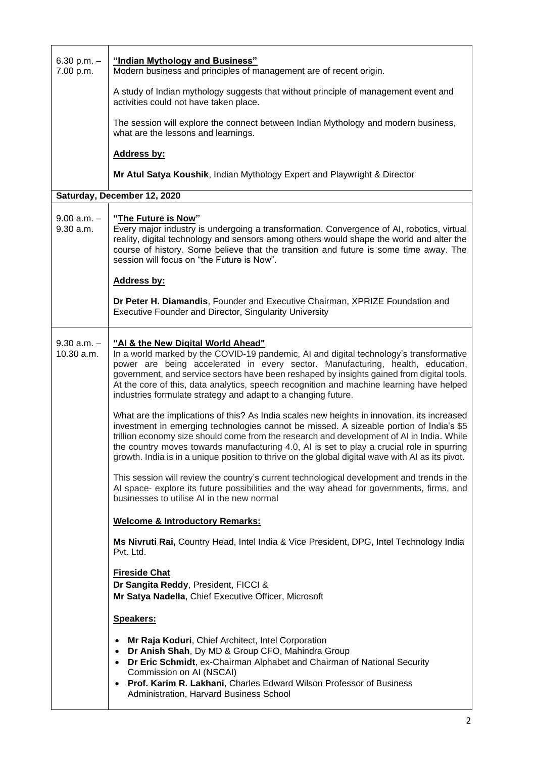| 6.30 p.m. $-$<br>7.00 p.m.    | "Indian Mythology and Business"<br>Modern business and principles of management are of recent origin.                                                                                                                                                                                                                                                                                                                                                                                                                                                                                                                                                                                                                                                                                                                                                                                                                                                                                                                                                                                                                                                                                                    |
|-------------------------------|----------------------------------------------------------------------------------------------------------------------------------------------------------------------------------------------------------------------------------------------------------------------------------------------------------------------------------------------------------------------------------------------------------------------------------------------------------------------------------------------------------------------------------------------------------------------------------------------------------------------------------------------------------------------------------------------------------------------------------------------------------------------------------------------------------------------------------------------------------------------------------------------------------------------------------------------------------------------------------------------------------------------------------------------------------------------------------------------------------------------------------------------------------------------------------------------------------|
|                               | A study of Indian mythology suggests that without principle of management event and<br>activities could not have taken place.                                                                                                                                                                                                                                                                                                                                                                                                                                                                                                                                                                                                                                                                                                                                                                                                                                                                                                                                                                                                                                                                            |
|                               | The session will explore the connect between Indian Mythology and modern business,<br>what are the lessons and learnings.                                                                                                                                                                                                                                                                                                                                                                                                                                                                                                                                                                                                                                                                                                                                                                                                                                                                                                                                                                                                                                                                                |
|                               | <b>Address by:</b>                                                                                                                                                                                                                                                                                                                                                                                                                                                                                                                                                                                                                                                                                                                                                                                                                                                                                                                                                                                                                                                                                                                                                                                       |
|                               | Mr Atul Satya Koushik, Indian Mythology Expert and Playwright & Director                                                                                                                                                                                                                                                                                                                                                                                                                                                                                                                                                                                                                                                                                                                                                                                                                                                                                                                                                                                                                                                                                                                                 |
|                               | Saturday, December 12, 2020                                                                                                                                                                                                                                                                                                                                                                                                                                                                                                                                                                                                                                                                                                                                                                                                                                                                                                                                                                                                                                                                                                                                                                              |
| $9.00 a.m. -$<br>9.30 a.m.    | "The Future is Now"<br>Every major industry is undergoing a transformation. Convergence of AI, robotics, virtual<br>reality, digital technology and sensors among others would shape the world and alter the<br>course of history. Some believe that the transition and future is some time away. The<br>session will focus on "the Future is Now".                                                                                                                                                                                                                                                                                                                                                                                                                                                                                                                                                                                                                                                                                                                                                                                                                                                      |
|                               | <b>Address by:</b>                                                                                                                                                                                                                                                                                                                                                                                                                                                                                                                                                                                                                                                                                                                                                                                                                                                                                                                                                                                                                                                                                                                                                                                       |
|                               | Dr Peter H. Diamandis, Founder and Executive Chairman, XPRIZE Foundation and<br>Executive Founder and Director, Singularity University                                                                                                                                                                                                                                                                                                                                                                                                                                                                                                                                                                                                                                                                                                                                                                                                                                                                                                                                                                                                                                                                   |
| $9.30$ a.m. $-$<br>10.30 a.m. | "Al & the New Digital World Ahead"<br>In a world marked by the COVID-19 pandemic, AI and digital technology's transformative<br>power are being accelerated in every sector. Manufacturing, health, education,<br>government, and service sectors have been reshaped by insights gained from digital tools.<br>At the core of this, data analytics, speech recognition and machine learning have helped<br>industries formulate strategy and adapt to a changing future.<br>What are the implications of this? As India scales new heights in innovation, its increased<br>investment in emerging technologies cannot be missed. A sizeable portion of India's \$5<br>trillion economy size should come from the research and development of AI in India. While<br>the country moves towards manufacturing 4.0, AI is set to play a crucial role in spurring<br>growth. India is in a unique position to thrive on the global digital wave with AI as its pivot.<br>This session will review the country's current technological development and trends in the<br>AI space- explore its future possibilities and the way ahead for governments, firms, and<br>businesses to utilise AI in the new normal |
|                               | <b>Welcome &amp; Introductory Remarks:</b><br>Ms Nivruti Rai, Country Head, Intel India & Vice President, DPG, Intel Technology India<br>Pvt. Ltd.                                                                                                                                                                                                                                                                                                                                                                                                                                                                                                                                                                                                                                                                                                                                                                                                                                                                                                                                                                                                                                                       |
|                               | <b>Fireside Chat</b><br>Dr Sangita Reddy, President, FICCI &<br>Mr Satya Nadella, Chief Executive Officer, Microsoft                                                                                                                                                                                                                                                                                                                                                                                                                                                                                                                                                                                                                                                                                                                                                                                                                                                                                                                                                                                                                                                                                     |
|                               | Speakers:                                                                                                                                                                                                                                                                                                                                                                                                                                                                                                                                                                                                                                                                                                                                                                                                                                                                                                                                                                                                                                                                                                                                                                                                |
|                               | Mr Raja Koduri, Chief Architect, Intel Corporation<br>$\bullet$<br>Dr Anish Shah, Dy MD & Group CFO, Mahindra Group<br>$\bullet$<br>Dr Eric Schmidt, ex-Chairman Alphabet and Chairman of National Security<br>$\bullet$<br>Commission on AI (NSCAI)<br>Prof. Karim R. Lakhani, Charles Edward Wilson Professor of Business<br>٠<br>Administration, Harvard Business School                                                                                                                                                                                                                                                                                                                                                                                                                                                                                                                                                                                                                                                                                                                                                                                                                              |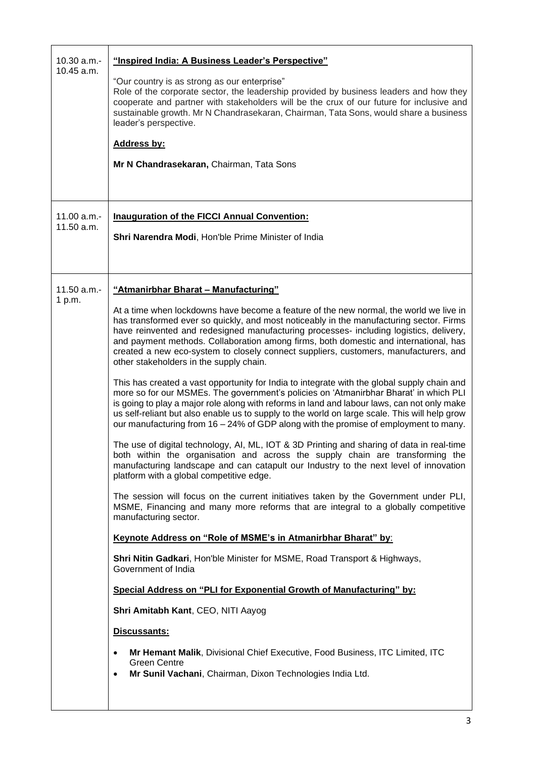| $10.30 a.m. -$<br>$10.45$ a.m. | "Inspired India: A Business Leader's Perspective"<br>"Our country is as strong as our enterprise"                                                                                                                                                                                                                                                                                                                                                                                                      |
|--------------------------------|--------------------------------------------------------------------------------------------------------------------------------------------------------------------------------------------------------------------------------------------------------------------------------------------------------------------------------------------------------------------------------------------------------------------------------------------------------------------------------------------------------|
|                                | Role of the corporate sector, the leadership provided by business leaders and how they<br>cooperate and partner with stakeholders will be the crux of our future for inclusive and<br>sustainable growth. Mr N Chandrasekaran, Chairman, Tata Sons, would share a business<br>leader's perspective.                                                                                                                                                                                                    |
|                                | <b>Address by:</b>                                                                                                                                                                                                                                                                                                                                                                                                                                                                                     |
|                                | Mr N Chandrasekaran, Chairman, Tata Sons                                                                                                                                                                                                                                                                                                                                                                                                                                                               |
| 11.00 a.m.                     | <b>Inauguration of the FICCI Annual Convention:</b>                                                                                                                                                                                                                                                                                                                                                                                                                                                    |
| 11.50 a.m.                     | Shri Narendra Modi, Hon'ble Prime Minister of India                                                                                                                                                                                                                                                                                                                                                                                                                                                    |
| $11.50 a.m. -$                 | "Atmanirbhar Bharat - Manufacturing"                                                                                                                                                                                                                                                                                                                                                                                                                                                                   |
| 1 p.m.                         | At a time when lockdowns have become a feature of the new normal, the world we live in<br>has transformed ever so quickly, and most noticeably in the manufacturing sector. Firms<br>have reinvented and redesigned manufacturing processes- including logistics, delivery,<br>and payment methods. Collaboration among firms, both domestic and international, has<br>created a new eco-system to closely connect suppliers, customers, manufacturers, and<br>other stakeholders in the supply chain. |
|                                | This has created a vast opportunity for India to integrate with the global supply chain and<br>more so for our MSMEs. The government's policies on 'Atmanirbhar Bharat' in which PLI<br>is going to play a major role along with reforms in land and labour laws, can not only make<br>us self-reliant but also enable us to supply to the world on large scale. This will help grow<br>our manufacturing from 16 - 24% of GDP along with the promise of employment to many.                           |
|                                | The use of digital technology, AI, ML, IOT & 3D Printing and sharing of data in real-time<br>both within the organisation and across the supply chain are transforming the<br>manufacturing landscape and can catapult our Industry to the next level of innovation<br>platform with a global competitive edge.                                                                                                                                                                                        |
|                                | The session will focus on the current initiatives taken by the Government under PLI,<br>MSME, Financing and many more reforms that are integral to a globally competitive<br>manufacturing sector.                                                                                                                                                                                                                                                                                                     |
|                                | Keynote Address on "Role of MSME's in Atmanirbhar Bharat" by:                                                                                                                                                                                                                                                                                                                                                                                                                                          |
|                                | Shri Nitin Gadkari, Hon'ble Minister for MSME, Road Transport & Highways,<br>Government of India                                                                                                                                                                                                                                                                                                                                                                                                       |
|                                | Special Address on "PLI for Exponential Growth of Manufacturing" by:                                                                                                                                                                                                                                                                                                                                                                                                                                   |
|                                | Shri Amitabh Kant, CEO, NITI Aayog                                                                                                                                                                                                                                                                                                                                                                                                                                                                     |
|                                | Discussants:                                                                                                                                                                                                                                                                                                                                                                                                                                                                                           |
|                                | Mr Hemant Malik, Divisional Chief Executive, Food Business, ITC Limited, ITC<br>$\bullet$<br><b>Green Centre</b><br>Mr Sunil Vachani, Chairman, Dixon Technologies India Ltd.<br>$\bullet$                                                                                                                                                                                                                                                                                                             |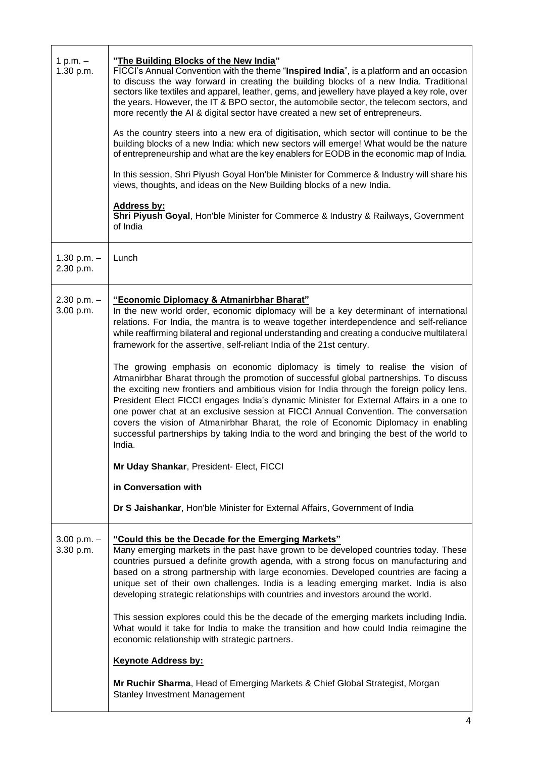| 1 p.m. $-$<br>1.30 p.m.      | "The Building Blocks of the New India"<br>FICCI's Annual Convention with the theme "Inspired India", is a platform and an occasion<br>to discuss the way forward in creating the building blocks of a new India. Traditional<br>sectors like textiles and apparel, leather, gems, and jewellery have played a key role, over<br>the years. However, the IT & BPO sector, the automobile sector, the telecom sectors, and<br>more recently the AI & digital sector have created a new set of entrepreneurs.<br>As the country steers into a new era of digitisation, which sector will continue to be the<br>building blocks of a new India: which new sectors will emerge! What would be the nature<br>of entrepreneurship and what are the key enablers for EODB in the economic map of India.<br>In this session, Shri Piyush Goyal Hon'ble Minister for Commerce & Industry will share his<br>views, thoughts, and ideas on the New Building blocks of a new India.<br><b>Address by:</b><br>Shri Piyush Goyal, Hon'ble Minister for Commerce & Industry & Railways, Government<br>of India                                                                                                                    |
|------------------------------|-------------------------------------------------------------------------------------------------------------------------------------------------------------------------------------------------------------------------------------------------------------------------------------------------------------------------------------------------------------------------------------------------------------------------------------------------------------------------------------------------------------------------------------------------------------------------------------------------------------------------------------------------------------------------------------------------------------------------------------------------------------------------------------------------------------------------------------------------------------------------------------------------------------------------------------------------------------------------------------------------------------------------------------------------------------------------------------------------------------------------------------------------------------------------------------------------------------------|
| 1.30 p.m. $-$<br>2.30 p.m.   | Lunch                                                                                                                                                                                                                                                                                                                                                                                                                                                                                                                                                                                                                                                                                                                                                                                                                                                                                                                                                                                                                                                                                                                                                                                                             |
| $2.30$ p.m. $-$<br>3.00 p.m. | "Economic Diplomacy & Atmanirbhar Bharat"<br>In the new world order, economic diplomacy will be a key determinant of international<br>relations. For India, the mantra is to weave together interdependence and self-reliance<br>while reaffirming bilateral and regional understanding and creating a conducive multilateral<br>framework for the assertive, self-reliant India of the 21st century.<br>The growing emphasis on economic diplomacy is timely to realise the vision of<br>Atmanirbhar Bharat through the promotion of successful global partnerships. To discuss<br>the exciting new frontiers and ambitious vision for India through the foreign policy lens,<br>President Elect FICCI engages India's dynamic Minister for External Affairs in a one to<br>one power chat at an exclusive session at FICCI Annual Convention. The conversation<br>covers the vision of Atmanirbhar Bharat, the role of Economic Diplomacy in enabling<br>successful partnerships by taking India to the word and bringing the best of the world to<br>India.<br>Mr Uday Shankar, President- Elect, FICCI<br>in Conversation with<br>Dr S Jaishankar, Hon'ble Minister for External Affairs, Government of India |
| $3.00$ p.m. $-$<br>3.30 p.m. | "Could this be the Decade for the Emerging Markets"<br>Many emerging markets in the past have grown to be developed countries today. These<br>countries pursued a definite growth agenda, with a strong focus on manufacturing and<br>based on a strong partnership with large economies. Developed countries are facing a<br>unique set of their own challenges. India is a leading emerging market. India is also<br>developing strategic relationships with countries and investors around the world.<br>This session explores could this be the decade of the emerging markets including India.<br>What would it take for India to make the transition and how could India reimagine the<br>economic relationship with strategic partners.<br><b>Keynote Address by:</b><br>Mr Ruchir Sharma, Head of Emerging Markets & Chief Global Strategist, Morgan                                                                                                                                                                                                                                                                                                                                                      |
|                              | <b>Stanley Investment Management</b>                                                                                                                                                                                                                                                                                                                                                                                                                                                                                                                                                                                                                                                                                                                                                                                                                                                                                                                                                                                                                                                                                                                                                                              |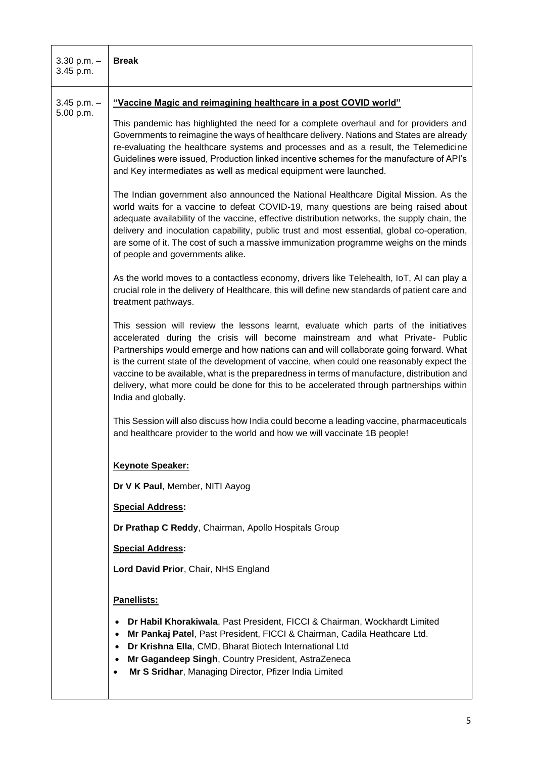| 3.30 p.m. $-$<br>3.45 p.m.   | <b>Break</b>                                                                                                                                                                                                                                                                                                                                                                                                                                                                                                                                                                  |
|------------------------------|-------------------------------------------------------------------------------------------------------------------------------------------------------------------------------------------------------------------------------------------------------------------------------------------------------------------------------------------------------------------------------------------------------------------------------------------------------------------------------------------------------------------------------------------------------------------------------|
| $3.45$ p.m. $-$<br>5.00 p.m. | "Vaccine Magic and reimagining healthcare in a post COVID world"                                                                                                                                                                                                                                                                                                                                                                                                                                                                                                              |
|                              | This pandemic has highlighted the need for a complete overhaul and for providers and<br>Governments to reimagine the ways of healthcare delivery. Nations and States are already<br>re-evaluating the healthcare systems and processes and as a result, the Telemedicine<br>Guidelines were issued, Production linked incentive schemes for the manufacture of API's<br>and Key intermediates as well as medical equipment were launched.                                                                                                                                     |
|                              | The Indian government also announced the National Healthcare Digital Mission. As the<br>world waits for a vaccine to defeat COVID-19, many questions are being raised about<br>adequate availability of the vaccine, effective distribution networks, the supply chain, the<br>delivery and inoculation capability, public trust and most essential, global co-operation,<br>are some of it. The cost of such a massive immunization programme weighs on the minds<br>of people and governments alike.                                                                        |
|                              | As the world moves to a contactless economy, drivers like Telehealth, IoT, AI can play a<br>crucial role in the delivery of Healthcare, this will define new standards of patient care and<br>treatment pathways.                                                                                                                                                                                                                                                                                                                                                             |
|                              | This session will review the lessons learnt, evaluate which parts of the initiatives<br>accelerated during the crisis will become mainstream and what Private- Public<br>Partnerships would emerge and how nations can and will collaborate going forward. What<br>is the current state of the development of vaccine, when could one reasonably expect the<br>vaccine to be available, what is the preparedness in terms of manufacture, distribution and<br>delivery, what more could be done for this to be accelerated through partnerships within<br>India and globally. |
|                              | This Session will also discuss how India could become a leading vaccine, pharmaceuticals<br>and healthcare provider to the world and how we will vaccinate 1B people!                                                                                                                                                                                                                                                                                                                                                                                                         |
|                              | <b>Keynote Speaker:</b>                                                                                                                                                                                                                                                                                                                                                                                                                                                                                                                                                       |
|                              | Dr V K Paul, Member, NITI Aayog                                                                                                                                                                                                                                                                                                                                                                                                                                                                                                                                               |
|                              | <b>Special Address:</b>                                                                                                                                                                                                                                                                                                                                                                                                                                                                                                                                                       |
|                              | Dr Prathap C Reddy, Chairman, Apollo Hospitals Group                                                                                                                                                                                                                                                                                                                                                                                                                                                                                                                          |
|                              | <b>Special Address:</b>                                                                                                                                                                                                                                                                                                                                                                                                                                                                                                                                                       |
|                              | Lord David Prior, Chair, NHS England                                                                                                                                                                                                                                                                                                                                                                                                                                                                                                                                          |
|                              | Panellists:                                                                                                                                                                                                                                                                                                                                                                                                                                                                                                                                                                   |
|                              | Dr Habil Khorakiwala, Past President, FICCI & Chairman, Wockhardt Limited<br>Mr Pankaj Patel, Past President, FICCI & Chairman, Cadila Heathcare Ltd.<br>$\bullet$<br>Dr Krishna Ella, CMD, Bharat Biotech International Ltd<br>Mr Gagandeep Singh, Country President, AstraZeneca<br>Mr S Sridhar, Managing Director, Pfizer India Limited<br>$\bullet$                                                                                                                                                                                                                      |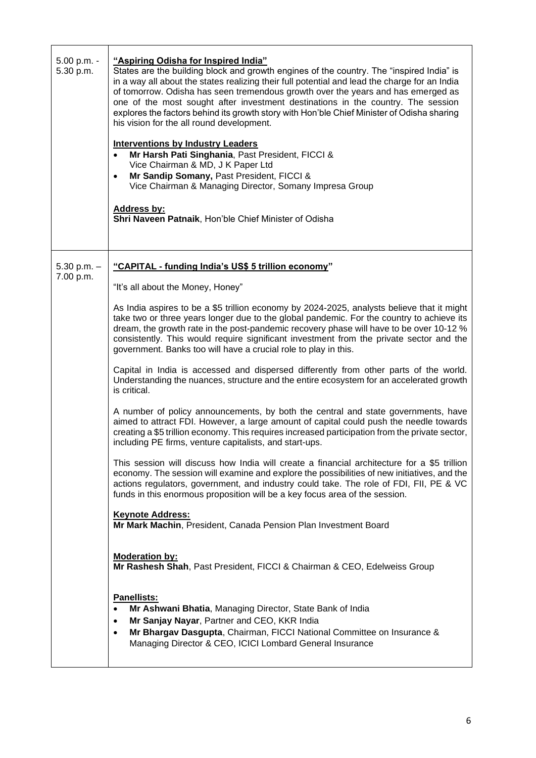| 5.00 p.m. -<br>5.30 p.m. | "Aspiring Odisha for Inspired India"<br>States are the building block and growth engines of the country. The "inspired India" is<br>in a way all about the states realizing their full potential and lead the charge for an India<br>of tomorrow. Odisha has seen tremendous growth over the years and has emerged as<br>one of the most sought after investment destinations in the country. The session<br>explores the factors behind its growth story with Hon'ble Chief Minister of Odisha sharing<br>his vision for the all round development.<br><b>Interventions by Industry Leaders</b><br>Mr Harsh Pati Singhania, Past President, FICCI &<br>Vice Chairman & MD, J K Paper Ltd<br>Mr Sandip Somany, Past President, FICCI &<br>$\bullet$<br>Vice Chairman & Managing Director, Somany Impresa Group<br><b>Address by:</b><br>Shri Naveen Patnaik, Hon'ble Chief Minister of Odisha |
|--------------------------|-----------------------------------------------------------------------------------------------------------------------------------------------------------------------------------------------------------------------------------------------------------------------------------------------------------------------------------------------------------------------------------------------------------------------------------------------------------------------------------------------------------------------------------------------------------------------------------------------------------------------------------------------------------------------------------------------------------------------------------------------------------------------------------------------------------------------------------------------------------------------------------------------|
| $5.30$ p.m. $-$          | "CAPITAL - funding India's US\$ 5 trillion economy"                                                                                                                                                                                                                                                                                                                                                                                                                                                                                                                                                                                                                                                                                                                                                                                                                                           |
| 7.00 p.m.                | "It's all about the Money, Honey"                                                                                                                                                                                                                                                                                                                                                                                                                                                                                                                                                                                                                                                                                                                                                                                                                                                             |
|                          | As India aspires to be a \$5 trillion economy by 2024-2025, analysts believe that it might<br>take two or three years longer due to the global pandemic. For the country to achieve its<br>dream, the growth rate in the post-pandemic recovery phase will have to be over 10-12 %<br>consistently. This would require significant investment from the private sector and the<br>government. Banks too will have a crucial role to play in this.                                                                                                                                                                                                                                                                                                                                                                                                                                              |
|                          | Capital in India is accessed and dispersed differently from other parts of the world.<br>Understanding the nuances, structure and the entire ecosystem for an accelerated growth<br>is critical.                                                                                                                                                                                                                                                                                                                                                                                                                                                                                                                                                                                                                                                                                              |
|                          | A number of policy announcements, by both the central and state governments, have<br>aimed to attract FDI. However, a large amount of capital could push the needle towards<br>creating a \$5 trillion economy. This requires increased participation from the private sector,<br>including PE firms, venture capitalists, and start-ups.                                                                                                                                                                                                                                                                                                                                                                                                                                                                                                                                                     |
|                          | This session will discuss how India will create a financial architecture for a \$5 trillion<br>economy. The session will examine and explore the possibilities of new initiatives, and the<br>actions regulators, government, and industry could take. The role of FDI, FII, PE & VC<br>funds in this enormous proposition will be a key focus area of the session.                                                                                                                                                                                                                                                                                                                                                                                                                                                                                                                           |
|                          | <b>Keynote Address:</b><br>Mr Mark Machin, President, Canada Pension Plan Investment Board                                                                                                                                                                                                                                                                                                                                                                                                                                                                                                                                                                                                                                                                                                                                                                                                    |
|                          | <b>Moderation by:</b><br>Mr Rashesh Shah, Past President, FICCI & Chairman & CEO, Edelweiss Group                                                                                                                                                                                                                                                                                                                                                                                                                                                                                                                                                                                                                                                                                                                                                                                             |
|                          | Panellists:<br>Mr Ashwani Bhatia, Managing Director, State Bank of India<br>$\bullet$<br>Mr Sanjay Nayar, Partner and CEO, KKR India<br>$\bullet$<br>Mr Bhargav Dasgupta, Chairman, FICCI National Committee on Insurance &<br>$\bullet$<br>Managing Director & CEO, ICICI Lombard General Insurance                                                                                                                                                                                                                                                                                                                                                                                                                                                                                                                                                                                          |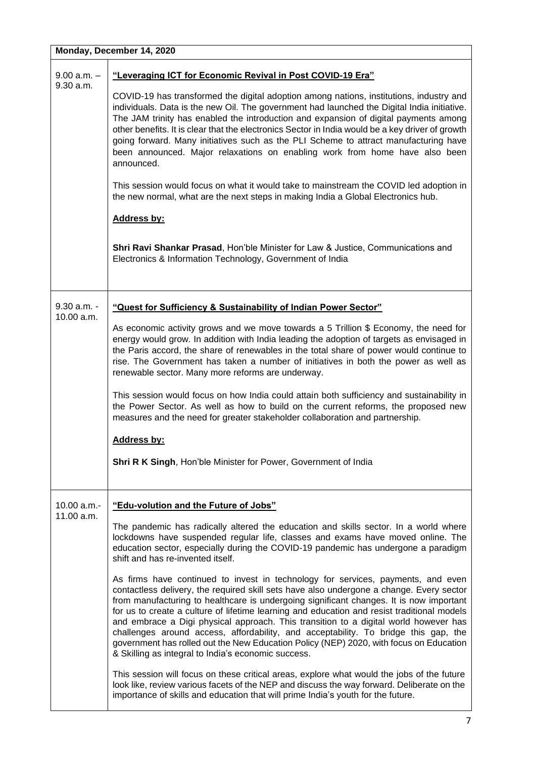|                            | Monday, December 14, 2020                                                                                                                                                                                                                                                                                                                                                                                                                                                                                                                                                                                                                                                                                                                                                                                                                                                                                                                                                                                                                                                                                                                                                                                                                                                                                                             |
|----------------------------|---------------------------------------------------------------------------------------------------------------------------------------------------------------------------------------------------------------------------------------------------------------------------------------------------------------------------------------------------------------------------------------------------------------------------------------------------------------------------------------------------------------------------------------------------------------------------------------------------------------------------------------------------------------------------------------------------------------------------------------------------------------------------------------------------------------------------------------------------------------------------------------------------------------------------------------------------------------------------------------------------------------------------------------------------------------------------------------------------------------------------------------------------------------------------------------------------------------------------------------------------------------------------------------------------------------------------------------|
| $9.00 a.m. -$<br>9.30 a.m. | "Leveraging ICT for Economic Revival in Post COVID-19 Era"<br>COVID-19 has transformed the digital adoption among nations, institutions, industry and<br>individuals. Data is the new Oil. The government had launched the Digital India initiative.<br>The JAM trinity has enabled the introduction and expansion of digital payments among<br>other benefits. It is clear that the electronics Sector in India would be a key driver of growth<br>going forward. Many initiatives such as the PLI Scheme to attract manufacturing have<br>been announced. Major relaxations on enabling work from home have also been<br>announced.<br>This session would focus on what it would take to mainstream the COVID led adoption in<br>the new normal, what are the next steps in making India a Global Electronics hub.<br><b>Address by:</b><br>Shri Ravi Shankar Prasad, Hon'ble Minister for Law & Justice, Communications and<br>Electronics & Information Technology, Government of India                                                                                                                                                                                                                                                                                                                                           |
| 9.30 a.m. -<br>10.00 a.m.  | "Quest for Sufficiency & Sustainability of Indian Power Sector"<br>As economic activity grows and we move towards a 5 Trillion \$ Economy, the need for<br>energy would grow. In addition with India leading the adoption of targets as envisaged in<br>the Paris accord, the share of renewables in the total share of power would continue to<br>rise. The Government has taken a number of initiatives in both the power as well as<br>renewable sector. Many more reforms are underway.<br>This session would focus on how India could attain both sufficiency and sustainability in<br>the Power Sector. As well as how to build on the current reforms, the proposed new<br>measures and the need for greater stakeholder collaboration and partnership.<br><b>Address by:</b><br>Shri R K Singh, Hon'ble Minister for Power, Government of India                                                                                                                                                                                                                                                                                                                                                                                                                                                                               |
| 10.00 a.m.-<br>11.00 a.m.  | "Edu-volution and the Future of Jobs"<br>The pandemic has radically altered the education and skills sector. In a world where<br>lockdowns have suspended regular life, classes and exams have moved online. The<br>education sector, especially during the COVID-19 pandemic has undergone a paradigm<br>shift and has re-invented itself.<br>As firms have continued to invest in technology for services, payments, and even<br>contactless delivery, the required skill sets have also undergone a change. Every sector<br>from manufacturing to healthcare is undergoing significant changes. It is now important<br>for us to create a culture of lifetime learning and education and resist traditional models<br>and embrace a Digi physical approach. This transition to a digital world however has<br>challenges around access, affordability, and acceptability. To bridge this gap, the<br>government has rolled out the New Education Policy (NEP) 2020, with focus on Education<br>& Skilling as integral to India's economic success.<br>This session will focus on these critical areas, explore what would the jobs of the future<br>look like, review various facets of the NEP and discuss the way forward. Deliberate on the<br>importance of skills and education that will prime India's youth for the future. |